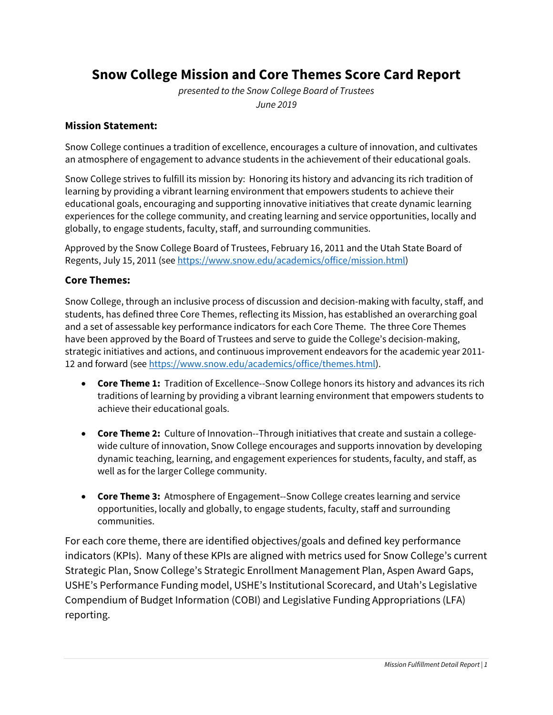# **Snow College Mission and Core Themes Score Card Report**

*presented to the Snow College Board of Trustees June 2019*

## **Mission Statement:**

Snow College continues a tradition of excellence, encourages a culture of innovation, and cultivates an atmosphere of engagement to advance students in the achievement of their educational goals.

Snow College strives to fulfill its mission by: Honoring its history and advancing its rich tradition of learning by providing a vibrant learning environment that empowers students to achieve their educational goals, encouraging and supporting innovative initiatives that create dynamic learning experiences for the college community, and creating learning and service opportunities, locally and globally, to engage students, faculty, staff, and surrounding communities.

Approved by the Snow College Board of Trustees, February 16, 2011 and the Utah State Board of Regents, July 15, 2011 (se[e https://www.snow.edu/academics/office/mission.html\)](https://www.snow.edu/academics/office/mission.html)

## **Core Themes:**

Snow College, through an inclusive process of discussion and decision-making with faculty, staff, and students, has defined three Core Themes, reflecting its Mission, has established an overarching goal and a set of assessable key performance indicators for each Core Theme. The three Core Themes have been approved by the Board of Trustees and serve to guide the College's decision-making, strategic initiatives and actions, and continuous improvement endeavors for the academic year 2011- 12 and forward (see [https://www.snow.edu/academics/office/themes.html\)](https://www.snow.edu/academics/office/themes.html).

- **Core Theme 1:** Tradition of Excellence--Snow College honors its history and advances its rich traditions of learning by providing a vibrant learning environment that empowers students to achieve their educational goals.
- **Core Theme 2:** Culture of Innovation--Through initiatives that create and sustain a collegewide culture of innovation, Snow College encourages and supports innovation by developing dynamic teaching, learning, and engagement experiences for students, faculty, and staff, as well as for the larger College community.
- **Core Theme 3:** Atmosphere of Engagement--Snow College creates learning and service opportunities, locally and globally, to engage students, faculty, staff and surrounding communities.

For each core theme, there are identified objectives/goals and defined key performance indicators (KPIs). Many of these KPIs are aligned with metrics used for Snow College's current Strategic Plan, Snow College's Strategic Enrollment Management Plan, Aspen Award Gaps, USHE's Performance Funding model, USHE's Institutional Scorecard, and Utah's Legislative Compendium of Budget Information (COBI) and Legislative Funding Appropriations (LFA) reporting.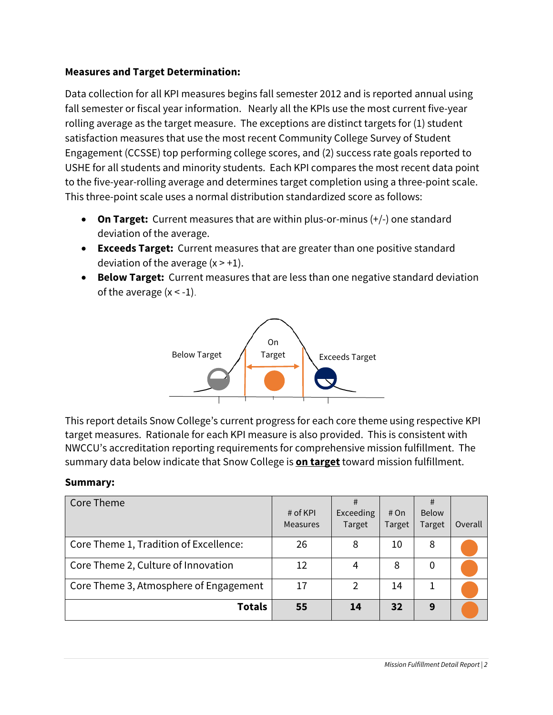# **Measures and Target Determination:**

Data collection for all KPI measures begins fall semester 2012 and is reported annual using fall semester or fiscal year information. Nearly all the KPIs use the most current five-year rolling average as the target measure. The exceptions are distinct targets for (1) student satisfaction measures that use the most recent Community College Survey of Student Engagement (CCSSE) top performing college scores, and (2) success rate goals reported to USHE for all students and minority students. Each KPI compares the most recent data point to the five-year-rolling average and determines target completion using a three-point scale. This three-point scale uses a normal distribution standardized score as follows:

- **On Target:** Current measures that are within plus-or-minus (+/-) one standard deviation of the average.
- **Exceeds Target:** Current measures that are greater than one positive standard deviation of the average  $(x > +1)$ .
- **Below Target:** Current measures that are less than one negative standard deviation of the average  $(x < -1)$ .



This report details Snow College's current progress for each core theme using respective KPI target measures. Rationale for each KPI measure is also provided. This is consistent with NWCCU's accreditation reporting requirements for comprehensive mission fulfillment. The summary data below indicate that Snow College is **on target** toward mission fulfillment.

## **Summary:**

| Core Theme                             | # of $KPI$<br><b>Measures</b> | #<br>Exceeding<br>Target | # On<br>Target | #<br>Below<br>Target | Overall |
|----------------------------------------|-------------------------------|--------------------------|----------------|----------------------|---------|
| Core Theme 1, Tradition of Excellence: | 26                            | 8                        | 10             | 8                    |         |
| Core Theme 2, Culture of Innovation    | 12                            | 4                        | 8              | 0                    |         |
| Core Theme 3, Atmosphere of Engagement | 17                            | $\overline{2}$           | 14             |                      |         |
| <b>Totals</b>                          | 55                            | 14                       | 32             | 9                    |         |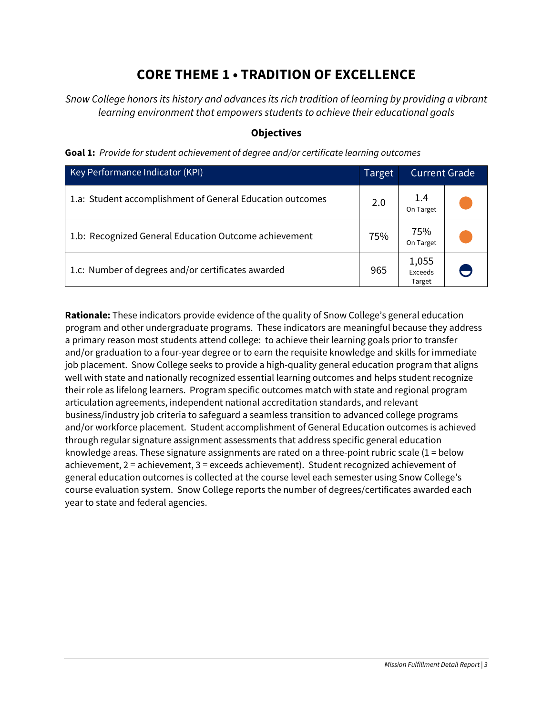# **CORE THEME 1 • TRADITION OF EXCELLENCE**

*Snow College honors its history and advances its rich tradition of learning by providing a vibrant learning environment that empowers students to achieve their educational goals*

### **Objectives**

|  |  |  |  | Goal 1: Provide for student achievement of degree and/or certificate learning outcomes |  |
|--|--|--|--|----------------------------------------------------------------------------------------|--|
|--|--|--|--|----------------------------------------------------------------------------------------|--|

| Key Performance Indicator (KPI)                           | <b>Current Grade</b><br>Target |                            |  |
|-----------------------------------------------------------|--------------------------------|----------------------------|--|
| 1.a: Student accomplishment of General Education outcomes | 2.0                            | 1.4<br>On Target           |  |
| 1.b: Recognized General Education Outcome achievement     | 75%                            | 75%<br>On Target           |  |
| 1.c: Number of degrees and/or certificates awarded        | 965                            | 1,055<br>Exceeds<br>Target |  |

**Rationale:** These indicators provide evidence of the quality of Snow College's general education program and other undergraduate programs. These indicators are meaningful because they address a primary reason most students attend college: to achieve their learning goals prior to transfer and/or graduation to a four-year degree or to earn the requisite knowledge and skills for immediate job placement. Snow College seeks to provide a high-quality general education program that aligns well with state and nationally recognized essential learning outcomes and helps student recognize their role as lifelong learners. Program specific outcomes match with state and regional program articulation agreements, independent national accreditation standards, and relevant business/industry job criteria to safeguard a seamless transition to advanced college programs and/or workforce placement. Student accomplishment of General Education outcomes is achieved through regular signature assignment assessments that address specific general education knowledge areas. These signature assignments are rated on a three-point rubric scale (1 = below achievement, 2 = achievement, 3 = exceeds achievement). Student recognized achievement of general education outcomes is collected at the course level each semester using Snow College's course evaluation system. Snow College reports the number of degrees/certificates awarded each year to state and federal agencies.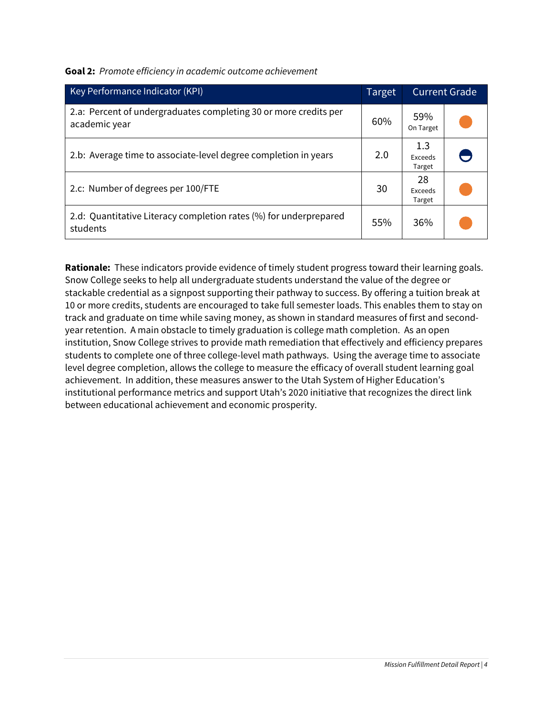**Goal 2:** *Promote efficiency in academic outcome achievement*

| Key Performance Indicator (KPI)                                                   | <b>Current Grade</b><br>Target |                          |  |
|-----------------------------------------------------------------------------------|--------------------------------|--------------------------|--|
| 2.a: Percent of undergraduates completing 30 or more credits per<br>academic year | 60%                            | 59%<br>On Target         |  |
| 2.b: Average time to associate-level degree completion in years                   | 2.0                            | 1.3<br>Exceeds<br>Target |  |
| 2.c: Number of degrees per 100/FTE                                                | 30                             | 28<br>Exceeds<br>Target  |  |
| 2.d: Quantitative Literacy completion rates (%) for underprepared<br>students     | 55%                            | 36%                      |  |

**Rationale:** These indicators provide evidence of timely student progress toward their learning goals. Snow College seeks to help all undergraduate students understand the value of the degree or stackable credential as a signpost supporting their pathway to success. By offering a tuition break at 10 or more credits, students are encouraged to take full semester loads. This enables them to stay on track and graduate on time while saving money, as shown in standard measures of first and secondyear retention. A main obstacle to timely graduation is college math completion. As an open institution, Snow College strives to provide math remediation that effectively and efficiency prepares students to complete one of three college-level math pathways. Using the average time to associate level degree completion, allows the college to measure the efficacy of overall student learning goal achievement. In addition, these measures answer to the Utah System of Higher Education's institutional performance metrics and support Utah's 2020 initiative that recognizes the direct link between educational achievement and economic prosperity.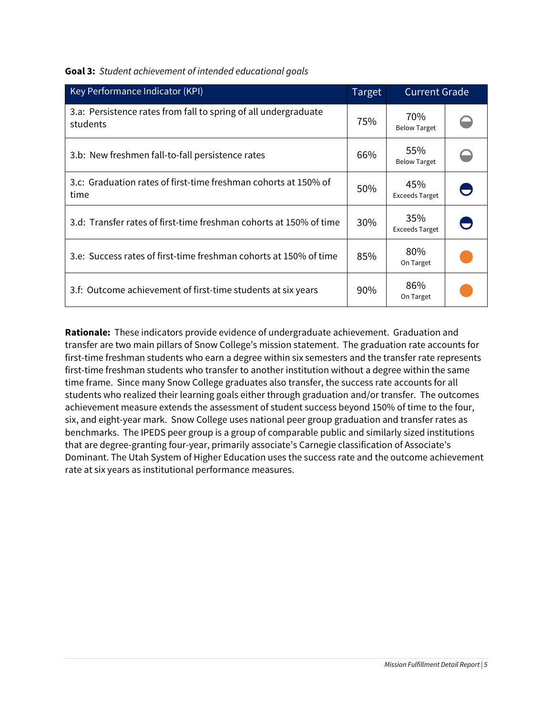| Key Performance Indicator (KPI)                                             | Target | <b>Current Grade</b>         |  |
|-----------------------------------------------------------------------------|--------|------------------------------|--|
| 3.a: Persistence rates from fall to spring of all undergraduate<br>students | 75%    | 70%<br><b>Below Target</b>   |  |
| 3.b: New freshmen fall-to-fall persistence rates                            | 66%    | 55%<br><b>Below Target</b>   |  |
| 3.c: Graduation rates of first-time freshman cohorts at 150% of<br>time     | 50%    | 45%<br><b>Exceeds Target</b> |  |
| 3.d: Transfer rates of first-time freshman cohorts at 150% of time          | 30%    | 35%<br><b>Exceeds Target</b> |  |
| 3.e: Success rates of first-time freshman cohorts at 150% of time           | 85%    | 80%<br>On Target             |  |
| 3.f: Outcome achievement of first-time students at six years                | $90\%$ | 86%<br>On Target             |  |

**Rationale:** These indicators provide evidence of undergraduate achievement. Graduation and transfer are two main pillars of Snow College's mission statement. The graduation rate accounts for first-time freshman students who earn a degree within six semesters and the transfer rate represents first-time freshman students who transfer to another institution without a degree within the same time frame. Since many Snow College graduates also transfer, the success rate accounts for all students who realized their learning goals either through graduation and/or transfer. The outcomes achievement measure extends the assessment of student success beyond 150% of time to the four, six, and eight-year mark. Snow College uses national peer group graduation and transfer rates as benchmarks. The IPEDS peer group is a group of comparable public and similarly sized institutions that are degree-granting four-year, primarily associate's Carnegie classification of Associate's Dominant. The Utah System of Higher Education uses the success rate and the outcome achievement rate at six years as institutional performance measures.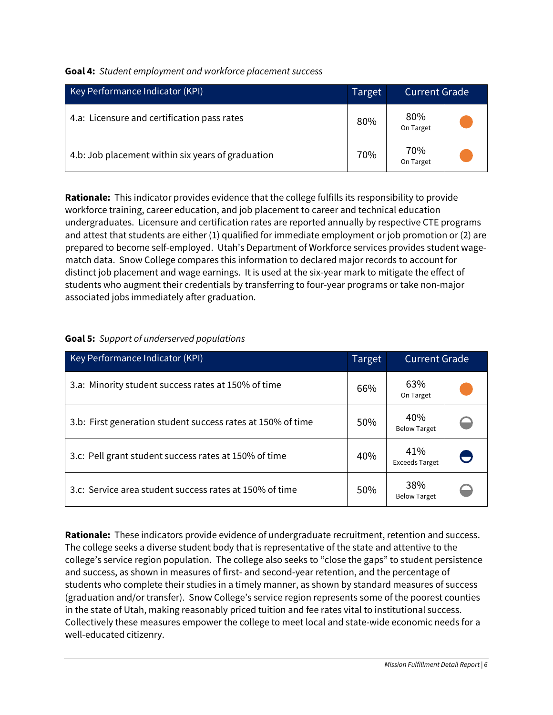|  | Goal 4: Student employment and workforce placement success |  |  |  |
|--|------------------------------------------------------------|--|--|--|
|--|------------------------------------------------------------|--|--|--|

| Key Performance Indicator (KPI)                   | Target | <b>Current Grade</b> |  |
|---------------------------------------------------|--------|----------------------|--|
| 4.a: Licensure and certification pass rates       | 80%    | 80%<br>On Target     |  |
| 4.b: Job placement within six years of graduation | 70%    | 70%<br>On Target     |  |

**Rationale:** This indicator provides evidence that the college fulfills its responsibility to provide workforce training, career education, and job placement to career and technical education undergraduates. Licensure and certification rates are reported annually by respective CTE programs and attest that students are either (1) qualified for immediate employment or job promotion or (2) are prepared to become self-employed. Utah's Department of Workforce services provides student wagematch data. Snow College compares this information to declared major records to account for distinct job placement and wage earnings. It is used at the six-year mark to mitigate the effect of students who augment their credentials by transferring to four-year programs or take non-major associated jobs immediately after graduation.

| Key Performance Indicator (KPI)                             | Target | <b>Current Grade</b>         |  |
|-------------------------------------------------------------|--------|------------------------------|--|
| 3.a: Minority student success rates at 150% of time         | 66%    | 63%<br>On Target             |  |
| 3.b: First generation student success rates at 150% of time | 50%    | 40%<br><b>Below Target</b>   |  |
| 3.c: Pell grant student success rates at 150% of time       | 40%    | 41%<br><b>Exceeds Target</b> |  |
| 3.c: Service area student success rates at 150% of time     | 50%    | 38%<br><b>Below Target</b>   |  |

#### **Goal 5:** *Support of underserved populations*

**Rationale:** These indicators provide evidence of undergraduate recruitment, retention and success. The college seeks a diverse student body that is representative of the state and attentive to the college's service region population. The college also seeks to "close the gaps" to student persistence and success, as shown in measures of first- and second-year retention, and the percentage of students who complete their studies in a timely manner, as shown by standard measures of success (graduation and/or transfer). Snow College's service region represents some of the poorest counties in the state of Utah, making reasonably priced tuition and fee rates vital to institutional success. Collectively these measures empower the college to meet local and state-wide economic needs for a well-educated citizenry.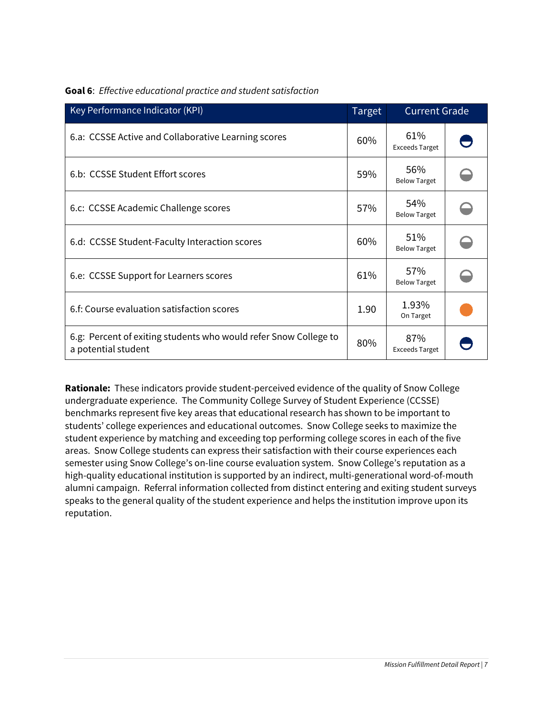| Key Performance Indicator (KPI)                                                         | Target | <b>Current Grade</b>         |  |
|-----------------------------------------------------------------------------------------|--------|------------------------------|--|
| 6.a: CCSSE Active and Collaborative Learning scores                                     | 60%    | 61%<br><b>Exceeds Target</b> |  |
| 6.b: CCSSE Student Effort scores                                                        | 59%    | 56%<br><b>Below Target</b>   |  |
| 6.c: CCSSE Academic Challenge scores                                                    | 57%    | 54%<br><b>Below Target</b>   |  |
| 6.d: CCSSE Student-Faculty Interaction scores                                           | 60%    | 51%<br><b>Below Target</b>   |  |
| 6.e: CCSSE Support for Learners scores                                                  | 61%    | 57%<br><b>Below Target</b>   |  |
| 6.f: Course evaluation satisfaction scores                                              | 1.90   | 1.93%<br>On Target           |  |
| 6.g: Percent of exiting students who would refer Snow College to<br>a potential student | 80%    | 87%<br><b>Exceeds Target</b> |  |

#### **Goal 6**: *Effective educational practice and student satisfaction*

**Rationale:** These indicators provide student-perceived evidence of the quality of Snow College undergraduate experience. The Community College Survey of Student Experience (CCSSE) benchmarks represent five key areas that educational research has shown to be important to students' college experiences and educational outcomes. Snow College seeks to maximize the student experience by matching and exceeding top performing college scores in each of the five areas. Snow College students can express their satisfaction with their course experiences each semester using Snow College's on-line course evaluation system. Snow College's reputation as a high-quality educational institution is supported by an indirect, multi-generational word-of-mouth alumni campaign. Referral information collected from distinct entering and exiting student surveys speaks to the general quality of the student experience and helps the institution improve upon its reputation.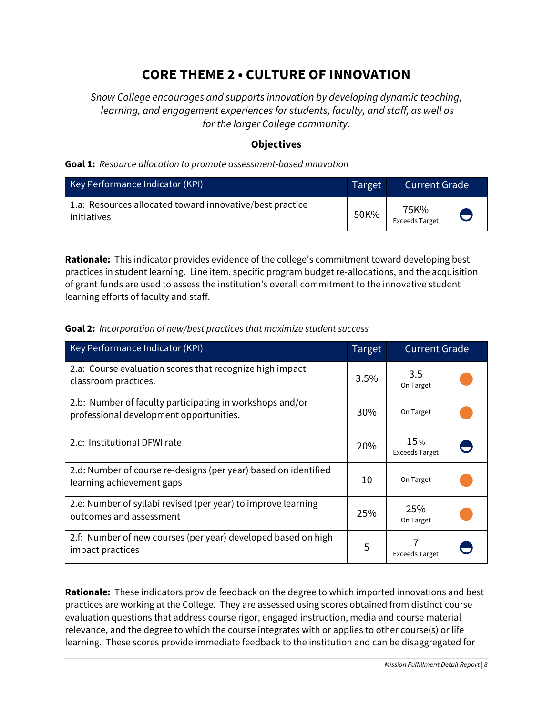# **CORE THEME 2 • CULTURE OF INNOVATION**

*Snow College encourages and supports innovation by developing dynamic teaching, learning, and engagement experiences for students, faculty, and staff, as well as for the larger College community.*

### **Objectives**

#### **Goal 1:** *Resource allocation to promote assessment-based innovation*

| Key Performance Indicator (KPI)                                         | Target | Current Grade '               |  |
|-------------------------------------------------------------------------|--------|-------------------------------|--|
| 1.a: Resources allocated toward innovative/best practice<br>initiatives | 50K%   | 75K%<br><b>Exceeds Target</b> |  |

**Rationale:** This indicator provides evidence of the college's commitment toward developing best practices in student learning. Line item, specific program budget re-allocations, and the acquisition of grant funds are used to assess the institution's overall commitment to the innovative student learning efforts of faculty and staff.

#### **Goal 2:** *Incorporation of new/best practices that maximize student success*

| Key Performance Indicator (KPI)                                                                     | Target | <b>Current Grade</b>         |  |
|-----------------------------------------------------------------------------------------------------|--------|------------------------------|--|
| 2.a: Course evaluation scores that recognize high impact<br>classroom practices.                    | 3.5%   | 3.5<br>On Target             |  |
| 2.b: Number of faculty participating in workshops and/or<br>professional development opportunities. | 30%    | On Target                    |  |
| 2.c: Institutional DFWI rate                                                                        | 20%    | 15%<br><b>Exceeds Target</b> |  |
| 2.d: Number of course re-designs (per year) based on identified<br>learning achievement gaps        | 10     | On Target                    |  |
| 2.e: Number of syllabi revised (per year) to improve learning<br>outcomes and assessment            | 25%    | 25%<br>On Target             |  |
| 2.f: Number of new courses (per year) developed based on high<br>impact practices                   | 5      | <b>Exceeds Target</b>        |  |

**Rationale:** These indicators provide feedback on the degree to which imported innovations and best practices are working at the College. They are assessed using scores obtained from distinct course evaluation questions that address course rigor, engaged instruction, media and course material relevance, and the degree to which the course integrates with or applies to other course(s) or life learning. These scores provide immediate feedback to the institution and can be disaggregated for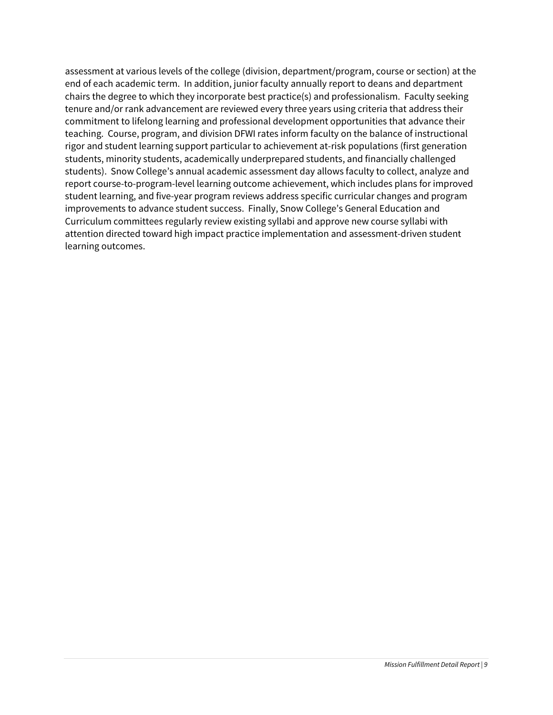assessment at various levels of the college (division, department/program, course or section) at the end of each academic term. In addition, junior faculty annually report to deans and department chairs the degree to which they incorporate best practice(s) and professionalism. Faculty seeking tenure and/or rank advancement are reviewed every three years using criteria that address their commitment to lifelong learning and professional development opportunities that advance their teaching. Course, program, and division DFWI rates inform faculty on the balance of instructional rigor and student learning support particular to achievement at-risk populations (first generation students, minority students, academically underprepared students, and financially challenged students). Snow College's annual academic assessment day allows faculty to collect, analyze and report course-to-program-level learning outcome achievement, which includes plans for improved student learning, and five-year program reviews address specific curricular changes and program improvements to advance student success. Finally, Snow College's General Education and Curriculum committees regularly review existing syllabi and approve new course syllabi with attention directed toward high impact practice implementation and assessment-driven student learning outcomes.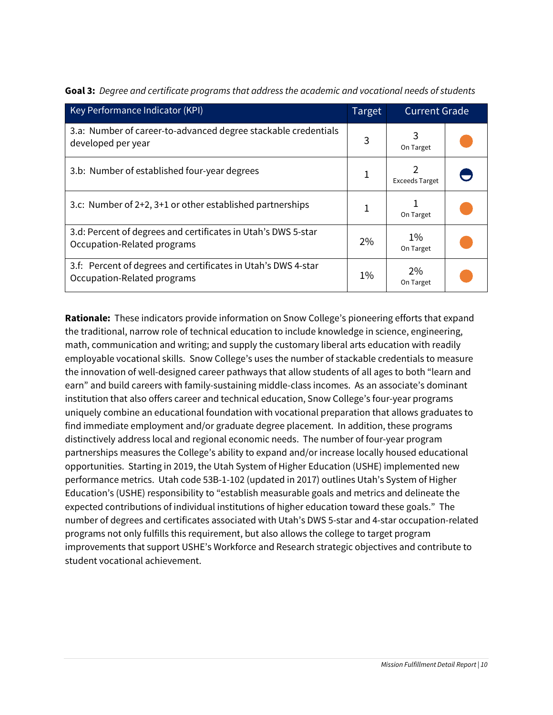| Key Performance Indicator (KPI)                                                              | <b>Target</b> | <b>Current Grade</b>  |  |
|----------------------------------------------------------------------------------------------|---------------|-----------------------|--|
| 3.a: Number of career-to-advanced degree stackable credentials<br>developed per year         | 3             | On Target             |  |
| 3.b: Number of established four-year degrees                                                 | 1             | <b>Exceeds Target</b> |  |
| 3.c: Number of 2+2, 3+1 or other established partnerships                                    | 1             | On Target             |  |
| 3.d: Percent of degrees and certificates in Utah's DWS 5-star<br>Occupation-Related programs | 2%            | $1\%$<br>On Target    |  |
| 3.f: Percent of degrees and certificates in Utah's DWS 4-star<br>Occupation-Related programs | $1\%$         | 2%<br>On Target       |  |

**Goal 3:** *Degree and certificate programs that address the academic and vocational needs of students*

**Rationale:** These indicators provide information on Snow College's pioneering efforts that expand the traditional, narrow role of technical education to include knowledge in science, engineering, math, communication and writing; and supply the customary liberal arts education with readily employable vocational skills. Snow College's uses the number of stackable credentials to measure the innovation of well-designed career pathways that allow students of all ages to both "learn and earn" and build careers with family-sustaining middle-class incomes. As an associate's dominant institution that also offers career and technical education, Snow College's four-year programs uniquely combine an educational foundation with vocational preparation that allows graduates to find immediate employment and/or graduate degree placement. In addition, these programs distinctively address local and regional economic needs. The number of four-year program partnerships measures the College's ability to expand and/or increase locally housed educational opportunities. Starting in 2019, the Utah System of Higher Education (USHE) implemented new performance metrics. Utah code 53B-1-102 (updated in 2017) outlines Utah's System of Higher Education's (USHE) responsibility to "establish measurable goals and metrics and delineate the expected contributions of individual institutions of higher education toward these goals." The number of degrees and certificates associated with Utah's DWS 5-star and 4-star occupation-related programs not only fulfills this requirement, but also allows the college to target program improvements that support USHE's Workforce and Research strategic objectives and contribute to student vocational achievement.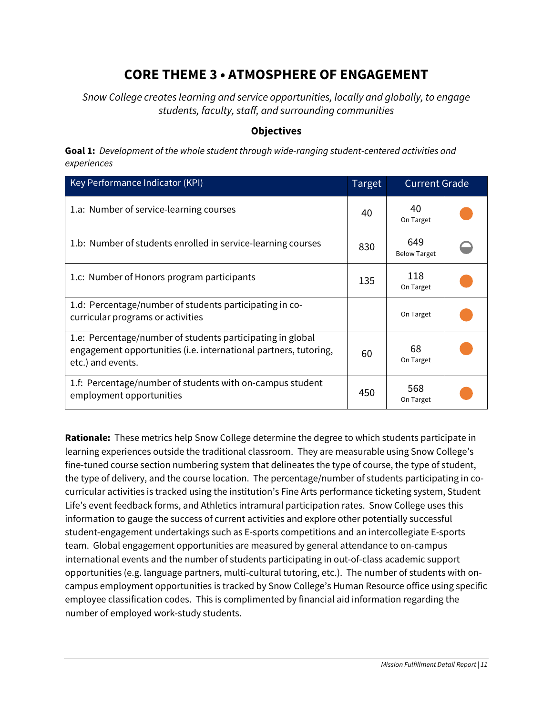# **CORE THEME 3 • ATMOSPHERE OF ENGAGEMENT**

*Snow College creates learning and service opportunities, locally and globally, to engage students, faculty, staff, and surrounding communities*

### **Objectives**

**Goal 1:** *Development of the whole student through wide-ranging student-centered activities and experiences*

| Key Performance Indicator (KPI)                                                                                                                     | <b>Target</b> | <b>Current Grade</b>       |  |
|-----------------------------------------------------------------------------------------------------------------------------------------------------|---------------|----------------------------|--|
| 1.a: Number of service-learning courses                                                                                                             | 40            | 40<br>On Target            |  |
| 1.b: Number of students enrolled in service-learning courses                                                                                        | 830           | 649<br><b>Below Target</b> |  |
| 1.c: Number of Honors program participants                                                                                                          | 135           | 118<br>On Target           |  |
| 1.d: Percentage/number of students participating in co-<br>curricular programs or activities                                                        |               | On Target                  |  |
| 1.e: Percentage/number of students participating in global<br>engagement opportunities (i.e. international partners, tutoring,<br>etc.) and events. | 60            | 68<br>On Target            |  |
| 1.f: Percentage/number of students with on-campus student<br>employment opportunities                                                               | 450           | 568<br>On Target           |  |

**Rationale:** These metrics help Snow College determine the degree to which students participate in learning experiences outside the traditional classroom. They are measurable using Snow College's fine-tuned course section numbering system that delineates the type of course, the type of student, the type of delivery, and the course location. The percentage/number of students participating in cocurricular activities is tracked using the institution's Fine Arts performance ticketing system, Student Life's event feedback forms, and Athletics intramural participation rates. Snow College uses this information to gauge the success of current activities and explore other potentially successful student-engagement undertakings such as E-sports competitions and an intercollegiate E-sports team. Global engagement opportunities are measured by general attendance to on-campus international events and the number of students participating in out-of-class academic support opportunities (e.g. language partners, multi-cultural tutoring, etc.). The number of students with oncampus employment opportunities is tracked by Snow College's Human Resource office using specific employee classification codes. This is complimented by financial aid information regarding the number of employed work-study students.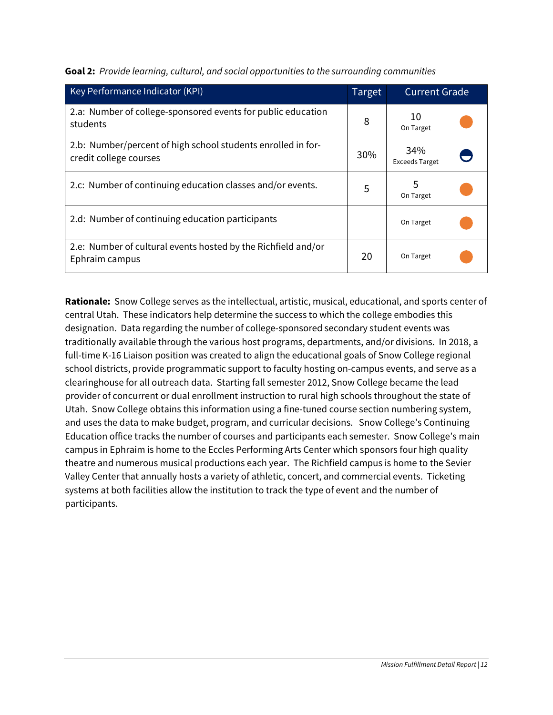| Key Performance Indicator (KPI)                                                        | Target | <b>Current Grade</b>         |  |
|----------------------------------------------------------------------------------------|--------|------------------------------|--|
| 2.a: Number of college-sponsored events for public education<br>students               | 8      | 10<br>On Target              |  |
| 2.b: Number/percent of high school students enrolled in for-<br>credit college courses | 30%    | 34%<br><b>Exceeds Target</b> |  |
| 2.c: Number of continuing education classes and/or events.                             | 5      | 5<br>On Target               |  |
| 2.d: Number of continuing education participants                                       |        | On Target                    |  |
| 2.e: Number of cultural events hosted by the Richfield and/or<br>Ephraim campus        | 20     | On Target                    |  |

**Goal 2:** *Provide learning, cultural, and social opportunities to the surrounding communities*

**Rationale:** Snow College serves as the intellectual, artistic, musical, educational, and sports center of central Utah. These indicators help determine the success to which the college embodies this designation. Data regarding the number of college-sponsored secondary student events was traditionally available through the various host programs, departments, and/or divisions. In 2018, a full-time K-16 Liaison position was created to align the educational goals of Snow College regional school districts, provide programmatic support to faculty hosting on-campus events, and serve as a clearinghouse for all outreach data. Starting fall semester 2012, Snow College became the lead provider of concurrent or dual enrollment instruction to rural high schools throughout the state of Utah. Snow College obtains this information using a fine-tuned course section numbering system, and uses the data to make budget, program, and curricular decisions. Snow College's Continuing Education office tracks the number of courses and participants each semester. Snow College's main campus in Ephraim is home to the Eccles Performing Arts Center which sponsors four high quality theatre and numerous musical productions each year. The Richfield campus is home to the Sevier Valley Center that annually hosts a variety of athletic, concert, and commercial events. Ticketing systems at both facilities allow the institution to track the type of event and the number of participants.